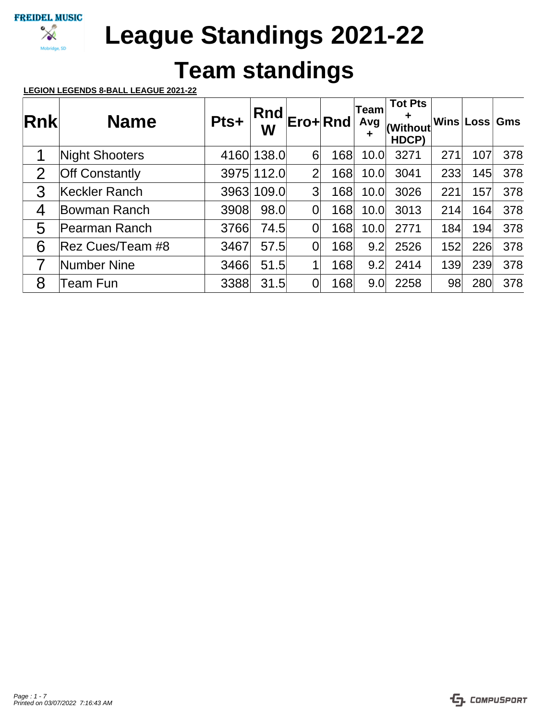

# **Team standings**

## **LEGION LEGENDS 8-BALL LEAGUE 2021-22**

| <b>Rnk</b>     | <b>Name</b>           | Pts+ | Rnd<br>W   | Ero+Rnd        |     | <b>Team</b><br>Avg<br>╈ | <b>Tot Pts</b><br>╋<br>(Without<br>HDCP) |     | Wins Loss | Gms |
|----------------|-----------------------|------|------------|----------------|-----|-------------------------|------------------------------------------|-----|-----------|-----|
| 1              | <b>Night Shooters</b> | 4160 | 138.0      | 6              | 168 | 10.0                    | 3271                                     | 271 | 107       | 378 |
| $\overline{2}$ | <b>Off Constantly</b> |      | 3975 112.0 | $\overline{2}$ | 168 | 10.0                    | 3041                                     | 233 | 145       | 378 |
| 3              | Keckler Ranch         | 3963 | 109.0      | 3              | 168 | 10.0                    | 3026                                     | 221 | 157       | 378 |
| 4              | Bowman Ranch          | 3908 | 98.0       | 0              | 168 | 10.0                    | 3013                                     | 214 | 164       | 378 |
| 5              | Pearman Ranch         | 3766 | 74.5       | 0              | 168 | 10.0                    | 2771                                     | 184 | 194       | 378 |
| 6              | Rez Cues/Team #8      | 3467 | 57.5       | 0              | 168 | 9.2                     | 2526                                     | 152 | 226       | 378 |
|                | Number Nine           | 3466 | 51.5       | 1              | 168 | 9.2                     | 2414                                     | 139 | 239       | 378 |
| 8              | Team Fun              | 3388 | 31.5       | 0              | 168 | 9.0                     | 2258                                     | 98  | 280       | 378 |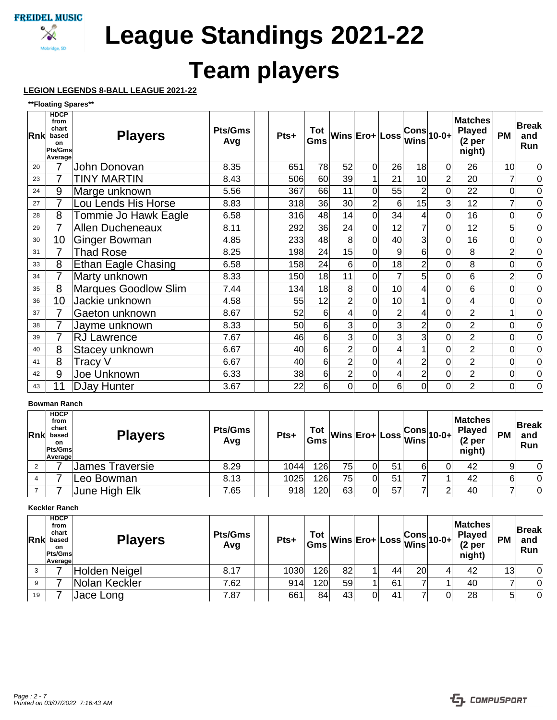

# **Team players**

## **LEGION LEGENDS 8-BALL LEAGUE 2021-22**

#### **\*\*Floating Spares\*\***

| Rnkl | <b>HDCP</b><br>from<br>chart<br>based<br>on<br>Pts/Gms<br>Average | <b>Players</b>             | <b>Pts/Gms</b><br>Avg | Pts+            | Gms |                | $\int_{-\infty}^{\infty}$ Wins Ero+ Loss |                |                | $\frac{ \textsf{Cons} }{ \textsf{Wins} }$ 10-0+ | <b>Matches</b><br><b>Played</b><br>(2 <sub>per</sub> )<br>night) | <b>PM</b>      | <b>Break</b><br>and<br>Run |
|------|-------------------------------------------------------------------|----------------------------|-----------------------|-----------------|-----|----------------|------------------------------------------|----------------|----------------|-------------------------------------------------|------------------------------------------------------------------|----------------|----------------------------|
| 20   |                                                                   | John Donovan               | 8.35                  | 651             | 78  | 52             | $\overline{0}$                           | 26             | 18             | 0                                               | 26                                                               | 10             | 0                          |
| 23   |                                                                   | <b>TINY MARTIN</b>         | 8.43                  | 506             | 60  | 39             | 1                                        | 21             | 10             | $\overline{2}$                                  | 20                                                               | $\overline{7}$ | 0                          |
| 24   | 9                                                                 | Marge unknown              | 5.56                  | 367             | 66  | 11             | $\mathbf 0$                              | 55             | $\overline{2}$ | 0                                               | 22                                                               | $\overline{0}$ | 0                          |
| 27   | $\overline{7}$                                                    | Lou Lends His Horse        | 8.83                  | 318             | 36  | 30             | $\overline{2}$                           | 6              | 15             | 3                                               | 12                                                               | $\overline{7}$ | 0                          |
| 28   | 8                                                                 | Tommie Jo Hawk Eagle       | 6.58                  | 316             | 48  | 14             | 0                                        | 34             | 4              | 0                                               | 16                                                               | 0              | $\overline{0}$             |
| 29   |                                                                   | <b>Allen Ducheneaux</b>    | 8.11                  | 292             | 36  | 24             | $\overline{0}$                           | 12             |                | 0                                               | 12                                                               | 5              | $\mathbf 0$                |
| 30   | 10                                                                | Ginger Bowman              | 4.85                  | 233             | 48  | 8              | 0                                        | 40             | 3              | 0                                               | 16                                                               | $\overline{0}$ | 0                          |
| 31   |                                                                   | <b>Thad Rose</b>           | 8.25                  | 198             | 24  | 15             | 0                                        | 9              | 6              | 0                                               | 8                                                                | $\overline{2}$ | 0                          |
| 33   | 8                                                                 | <b>Ethan Eagle Chasing</b> | 6.58                  | 158             | 24  | 6              | $\overline{0}$                           | 18             | $\overline{2}$ |                                                 | 8                                                                | $\overline{0}$ | 0                          |
| 34   | 7                                                                 | Marty unknown              | 8.33                  | 150             | 18  | 11             | $\Omega$                                 |                | 5              | 0                                               | 6                                                                | $\overline{2}$ | 0                          |
| 35   | 8                                                                 | Marques Goodlow Slim       | 7.44                  | 134             | 18  | 8              | $\mathbf 0$                              | 10             | 4              | 0                                               | 6                                                                | 0              | $\overline{0}$             |
| 36   | 10                                                                | Jackie unknown             | 4.58                  | 55              | 12  | 2              | 0                                        | 10             |                | 0                                               | 4                                                                | 0              | 0                          |
| 37   |                                                                   | Gaeton unknown             | 8.67                  | 52              | 6   | 4              | 0                                        | $\overline{2}$ | 4              | 0                                               | $\overline{2}$                                                   | 1              | 0                          |
| 38   |                                                                   | Jayme unknown              | 8.33                  | 50 <sup>1</sup> | 6   | 3              | $\Omega$                                 | 3              | 2              |                                                 | $\overline{2}$                                                   | 0              | $\mathbf 0$                |
| 39   | 7                                                                 | <b>RJ Lawrence</b>         | 7.67                  | 46              | 6   | 3              | $\Omega$                                 | 3 <sub>l</sub> |                | 0                                               | $\overline{2}$                                                   | 0              | $\overline{0}$             |
| 40   | 8                                                                 | Stacey unknown             | 6.67                  | 40              | 6   | 2              | 0                                        |                |                | 0                                               | $\overline{2}$                                                   | $\overline{0}$ | $\overline{0}$             |
| 41   | 8                                                                 | Tracy V                    | 6.67                  | 40              | 6   | $\overline{2}$ | 0                                        |                | $\overline{2}$ | 0                                               | $\overline{2}$                                                   | 0              | 0                          |
| 42   | 9                                                                 | Joe Unknown                | 6.33                  | 38              | 6   | $\overline{c}$ | $\mathbf 0$                              |                | $\overline{2}$ | 0                                               | $\overline{2}$                                                   | $\overline{0}$ | $\overline{0}$             |
| 43   | 11                                                                | <b>DJay Hunter</b>         | 3.67                  | 22              | 6   | $\overline{0}$ | 0                                        | 6              | 0              | 0                                               | $\overline{2}$                                                   | $\overline{0}$ | 0                          |

### **Bowman Ranch**

| Rnk | <b>HDCP</b><br>from<br>chart<br>based<br><b>on</b><br>Pts/Gms<br>Average | <b>Players</b>       | <b>Pts/Gms</b><br>Avg | Pts+ | Tot |    |    |    |   | $\begin{vmatrix} \mathsf{Tot} \ \mathsf{Gms} \end{vmatrix} \mathsf{Wins} \begin{vmatrix} \mathsf{E} \mathsf{ro+} \end{vmatrix} \mathsf{Loss} \begin{vmatrix} \mathsf{Cons} \ \mathsf{Wins} \end{vmatrix}$ 10-0+ | <b>Matches</b><br><b>Played</b><br>(2 <sub>per</sub> )<br>night) | <b>PM</b> | <b>Break</b><br>and<br><b>Run</b> |
|-----|--------------------------------------------------------------------------|----------------------|-----------------------|------|-----|----|----|----|---|-----------------------------------------------------------------------------------------------------------------------------------------------------------------------------------------------------------------|------------------------------------------------------------------|-----------|-----------------------------------|
|     |                                                                          | James Traversie      | 8.29                  | 1044 | 126 | 75 |    | 51 | 6 |                                                                                                                                                                                                                 | 42                                                               |           | $\Omega$                          |
|     |                                                                          | Leo Bowman           | 8.13                  | 1025 | 126 | 75 |    | 51 |   |                                                                                                                                                                                                                 | 42                                                               | 6         | $\Omega$                          |
|     |                                                                          | <b>June High Elk</b> | 7.65                  | 918  | 120 | 63 | 01 | 57 |   |                                                                                                                                                                                                                 | 40                                                               |           | 0                                 |

#### **Keckler Ranch**

| <b>Rnk</b> | <b>HDCP</b><br>from<br>chart<br>based<br>on.<br>Pts/Gms<br><b>Average</b> | <b>Players</b> | <b>Pts/Gms</b><br>Avg | $Pts+$ | Tot<br>Gms       |    |    |                 | …∴ ∣Wins Ero∔ Loss <mark>Cons</mark> 10-0+ Pr> | <b>Matches</b><br><b>Played</b><br>(2 <sub>per</sub> )<br>night) | <b>PM</b> | <b>Break</b><br>and<br>Run |
|------------|---------------------------------------------------------------------------|----------------|-----------------------|--------|------------------|----|----|-----------------|------------------------------------------------|------------------------------------------------------------------|-----------|----------------------------|
|            |                                                                           | Holden Neigel  | 8.17                  | 1030   | 126              | 82 | 44 | 20 <sub>l</sub> |                                                | 42                                                               | 13        | 0                          |
| 9          |                                                                           | Nolan Keckler  | 7.62                  | 914    | 120 <sub>1</sub> | 59 | 61 |                 |                                                | 40                                                               |           | 0                          |
| 19         |                                                                           | Jace Long      | 7.87                  | 661    | 84               | 43 | 41 |                 |                                                | 28                                                               | 5         | 0                          |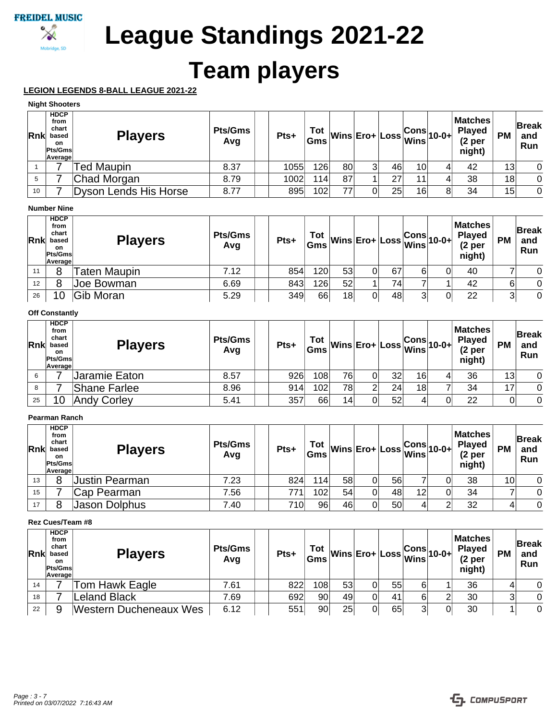

# **Team players**

# **LEGION LEGENDS 8-BALL LEAGUE 2021-22**

### **Night Shooters**

| Rnk | <b>HDCP</b><br>from<br>chart<br>based<br>on.<br>Pts/Gms<br>Average | <b>Players</b>        | <b>Pts/Gms</b><br>Avg | Pts+ | Tot | $\begin{array}{c} \n\text{Tot} \\ \text{Gms} \n\end{array}\n\text{Wins} \n\begin{array}{c} \n\text{Ero+} \n\end{array}\n\begin{array}{c} \n\text{Loss} \n\end{array}\n\text{Wins} \n\begin{array}{c} \n\text{Sons} \n\end{array}\n\text{10-0+}$ |   |    |                 | <b>Matches</b><br><b>Played</b><br>(2 <sub>per</sub> )<br>night) | <b>PM</b> | <b>Break</b><br>and<br><b>Run</b> |
|-----|--------------------------------------------------------------------|-----------------------|-----------------------|------|-----|-------------------------------------------------------------------------------------------------------------------------------------------------------------------------------------------------------------------------------------------------|---|----|-----------------|------------------------------------------------------------------|-----------|-----------------------------------|
|     |                                                                    | <b>Fed Maupin</b>     | 8.37                  | 1055 | 126 | 80                                                                                                                                                                                                                                              | 3 | 46 | 10              | 42                                                               | 13        | $\overline{0}$                    |
|     |                                                                    | Chad Morgan           | 8.79                  | 1002 | 114 | 87                                                                                                                                                                                                                                              |   | 27 | 11 <sub>1</sub> | 38                                                               | 18        | $\overline{0}$                    |
| 10  |                                                                    | Dyson Lends His Horse | 8.77                  | 895  | 102 | 77                                                                                                                                                                                                                                              |   | 25 | 16              | 34                                                               | 15        | $\overline{0}$                    |

### **Number Nine**

| <b>Rnk</b> | <b>HDCP</b><br>from<br>chart<br>based<br>on<br>Pts/Gms<br>Average | <b>Players</b>      | <b>Pts/Gms</b><br>Avg | Pts+ | Tot<br>Gms |    |    |    |   | …∴  Wins Ero∔ Loss <mark>Cons</mark> 10-0+ P <sup>r⊱</sup> | Matches<br><b>Played</b><br>(2 <sub>per</sub> )<br>night) | <b>PM</b> | <b>Break</b><br>and<br>Run |
|------------|-------------------------------------------------------------------|---------------------|-----------------------|------|------------|----|----|----|---|------------------------------------------------------------|-----------------------------------------------------------|-----------|----------------------------|
| 11         | 8                                                                 | <b>Taten Maupin</b> | 7.12                  | 854  | 120        | 53 | 0  | 67 |   |                                                            | 40                                                        |           |                            |
| 12         | 8                                                                 | Joe Bowman          | 6.69                  | 843  | 126        | 52 |    | 74 |   |                                                            | 42                                                        | 6         | $\Omega$                   |
| 26         | 10                                                                | Gib Moran           | 5.29                  | 349  | 66         | 18 | 01 | 48 | っ |                                                            | 22                                                        | ົ         | $\Omega$                   |

### **Off Constantly**

| <b>Rnk</b> | <b>HDCP</b><br>from<br>chart<br>based<br>on<br><b>Pts/Gms</b><br>Average | <b>Players</b>     | <b>Pts/Gms</b><br>Avg | Pts+ | Tot<br>Gms |    |    |    |    | …∴ Wins Ero∔ Loss Cons 10-0+ Pr | <b>Matches</b><br><b>Played</b><br>(2 <sub>per</sub> )<br>night) | <b>PM</b> | <b>Break</b><br>and<br><b>Run</b> |
|------------|--------------------------------------------------------------------------|--------------------|-----------------------|------|------------|----|----|----|----|---------------------------------|------------------------------------------------------------------|-----------|-----------------------------------|
| 6          |                                                                          | Jaramie Eaton      | 8.57                  | 926  | 108        | 76 | 01 | 32 | 16 |                                 | 36                                                               | 13        | $\overline{0}$                    |
| 8          |                                                                          | Shane Farlee       | 8.96                  | 914  | 102        | 78 |    | 24 | 18 |                                 | 34                                                               | 17        | $\Omega$                          |
| 25         | 10                                                                       | <b>Andy Corley</b> | 5.41                  | 357  | 66         | 14 |    | 52 | 4  |                                 | 22                                                               | 0         | 0                                 |

### **Pearman Ranch**

| <b>Rnk</b> | <b>HDCP</b><br>from<br>chart<br>based<br>on<br>Pts/Gms<br>Average | <b>Players</b> | <b>Pts/Gms</b><br>Avg | Pts+ | Tot<br>Gms |    |    |    |    | …∴  Wins Ero∔ Loss <mark>Cons</mark>  10-0∔ Pr <sup></sup> | Matches<br><b>Played</b><br>$(2p$ er<br>night) | <b>PM</b>       | <b>Break</b><br>and<br>Run |
|------------|-------------------------------------------------------------------|----------------|-----------------------|------|------------|----|----|----|----|------------------------------------------------------------|------------------------------------------------|-----------------|----------------------------|
| 13         | 8                                                                 | Justin Pearman | 7.23                  | 824  | 114        | 58 |    | 56 |    |                                                            | 38                                             | 10 <sub>1</sub> | $\Omega$                   |
| 15         |                                                                   | Cap Pearman    | 7.56                  | 771  | 102        | 54 | 0  | 48 | 12 |                                                            | 34                                             |                 | $\Omega$                   |
| 17         | 8                                                                 | Jason Dolphus  | 7.40                  | 710  | 96         | 46 | 01 | 50 |    |                                                            | 32                                             |                 | $\Omega$                   |

#### **Rez Cues/Team #8**

| <b>Rnk</b> | <b>HDCP</b><br>from<br>chart<br>based<br><b>on</b><br>Pts/Gms<br>Average | <b>Players</b>                | <b>Pts/Gms</b><br>Avg | Pts+ |     |    |    |    |   | $\left \frac{\text{Tot}}{\text{Gms}}\middle  \text{Wins} \right $ Ero+ $\left \text{Loss} \right $ $\text{Wins}$ 10-0+ | <b>Matches</b><br><b>Played</b><br>(2 <sub>p</sub> )<br>night) | <b>PM</b> | <b>Break</b><br>and<br>Run |
|------------|--------------------------------------------------------------------------|-------------------------------|-----------------------|------|-----|----|----|----|---|------------------------------------------------------------------------------------------------------------------------|----------------------------------------------------------------|-----------|----------------------------|
| 14         |                                                                          | Tom Hawk Eagle                | 7.61                  | 822  | 108 | 53 | 01 | 55 | 6 |                                                                                                                        | 36                                                             |           | 0                          |
| 18         |                                                                          | eland Black                   | 7.69                  | 692  | 90  | 49 | Ωl | 41 | 6 |                                                                                                                        | 30                                                             |           | 0                          |
| 22         |                                                                          | <b>Western Ducheneaux Wes</b> | 6.12                  | 551  | 90  | 25 | 0  | 65 | າ |                                                                                                                        | 30                                                             |           | 0                          |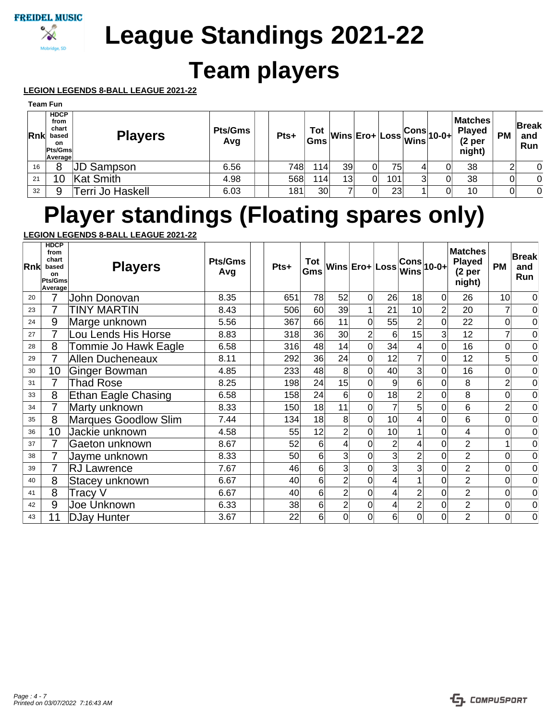

# **Team players**

## **LEGION LEGENDS 8-BALL LEAGUE 2021-22**

|             | Team Fun                                                          |                  |                |      |            |    |     |   |                                                                                                          |                                                                  |           |                            |
|-------------|-------------------------------------------------------------------|------------------|----------------|------|------------|----|-----|---|----------------------------------------------------------------------------------------------------------|------------------------------------------------------------------|-----------|----------------------------|
| <b>Rnkl</b> | <b>HDCP</b><br>from<br>chart<br>based<br>on<br>Pts/Gms<br>Average | <b>Players</b>   | Pts/Gms<br>Avg | Pts+ | Tot<br>Gms |    |     |   | $\sim$ Wins Ero+ Loss $\begin{vmatrix} \text{Cons} & \text{P1} \\ \text{Wins} & \text{N1} \end{vmatrix}$ | <b>Matches</b><br><b>Played</b><br>(2 <sub>per</sub> )<br>night) | <b>PM</b> | <b>Break</b><br>and<br>Run |
| 16          |                                                                   | JD Sampson       | 6.56           | 748  | 114        | 39 | 75  |   |                                                                                                          | 38                                                               | ົ         | 0                          |
| 21          | 10                                                                | Kat Smith        | 4.98           | 568  | 114        | 13 | 101 | 3 |                                                                                                          | 38                                                               | 0         | $\overline{0}$             |
| 32          | 9                                                                 | Terri Jo Haskell | 6.03           | 181  | 30         |    | 23  |   |                                                                                                          | 10                                                               | 0         | $\overline{0}$             |

# **Player standings (Floating spares only)**

## **LEGION LEGENDS 8-BALL LEAGUE 2021-22**

| Rnk | <b>HDCP</b><br>from<br>chart<br>based<br>on<br>Pts/Gms<br>Average | <b>Players</b>              | <b>Pts/Gms</b><br>Avg | Pts+ | Tot<br>Gms      |                 | Wins Ero+ Loss |                 | <b>Wins</b>     | $ Cons _{10-0+}$ | <b>Matches</b><br><b>Played</b><br>(2 <sub>per</sub> )<br>night) | <b>PM</b>      | <b>Break</b><br>and<br>Run |
|-----|-------------------------------------------------------------------|-----------------------------|-----------------------|------|-----------------|-----------------|----------------|-----------------|-----------------|------------------|------------------------------------------------------------------|----------------|----------------------------|
| 20  | 7                                                                 | John Donovan                | 8.35                  | 651  | 78              | 52              | $\Omega$       | 26              | 18              | $\Omega$         | 26                                                               | 10             | 0                          |
| 23  |                                                                   | <b>TINY MARTIN</b>          | 8.43                  | 506  | 60 <sup>1</sup> | 39              |                | 21              | 10 <sup>1</sup> | $\overline{2}$   | 20                                                               | 7              | $\mathbf 0$                |
| 24  | 9                                                                 | Marge unknown               | 5.56                  | 367  | 66              | 11              | $\Omega$       | 55              | $\overline{2}$  | $\Omega$         | 22                                                               | 0              | $\mathbf 0$                |
| 27  | 7                                                                 | Lou Lends His Horse         | 8.83                  | 318  | 36              | 30 <sup>2</sup> | $\overline{2}$ | $6 \mid$        | 15              | 3 <sup>1</sup>   | 12                                                               |                | $\mathbf 0$                |
| 28  | 8                                                                 | Tommie Jo Hawk Eagle        | 6.58                  | 316  | 48              | 14              | $\overline{0}$ | 34              |                 | $\Omega$         | 16                                                               | 0              | 0                          |
| 29  | 7                                                                 | <b>Allen Ducheneaux</b>     | 8.11                  | 292  | 36              | 24              | $\overline{0}$ | 12              |                 | Ωl               | 12                                                               | 5              | $\mathbf 0$                |
| 30  | 10                                                                | <b>Ginger Bowman</b>        | 4.85                  | 233  | 48              | 8               | $\overline{0}$ | 40 <sub>l</sub> |                 | $\Omega$         | 16                                                               | 0              | $\mathbf 0$                |
| 31  | 7                                                                 | <b>Thad Rose</b>            | 8.25                  | 198  | 24              | $15$            | $\overline{0}$ | $\overline{9}$  | 6               | $\Omega$         | 8                                                                | $\overline{2}$ | $\mathbf 0$                |
| 33  | 8                                                                 | <b>Ethan Eagle Chasing</b>  | 6.58                  | 158  | 24              | $6 \mid$        | $\mathbf 0$    | 18              |                 | 0                | 8                                                                | 0              | $\mathbf 0$                |
| 34  | 7                                                                 | Marty unknown               | 8.33                  | 150  | 18              | 11              | $\overline{0}$ |                 |                 | 0                | 6                                                                | $\overline{2}$ | $\mathbf 0$                |
| 35  | 8                                                                 | <b>Marques Goodlow Slim</b> | 7.44                  | 134  | 18              | 8 <sup>1</sup>  | $\overline{0}$ | 10 <sup>1</sup> |                 | $\Omega$         | 6                                                                | 0              | $\mathbf 0$                |
| 36  | 10                                                                | Jackie unknown              | 4.58                  | 55   | 12              | $\overline{2}$  | $\overline{0}$ | 10 <sup>1</sup> |                 | $\Omega$         | 4                                                                | 0              | $\mathbf 0$                |
| 37  | 7                                                                 | Gaeton unknown              | 8.67                  | 52   | 6               | 4               | $\mathbf 0$    | $\overline{2}$  |                 | 0                | $\overline{2}$                                                   | 1              | $\mathbf 0$                |
| 38  | 7                                                                 | Jayme unknown               | 8.33                  | 50   | 6               | 3               | $\overline{0}$ | 3 <sup>1</sup>  | $\overline{2}$  | $\Omega$         | $\overline{2}$                                                   | 0              | $\mathbf 0$                |
| 39  | 7                                                                 | <b>RJ Lawrence</b>          | 7.67                  | 46   | 6               | $\mathbf{3}$    | $\overline{0}$ |                 |                 | $\Omega$         | $\overline{2}$                                                   | 0              | $\mathbf 0$                |
| 40  | 8                                                                 | Stacey unknown              | 6.67                  | 40   | 6               | $\overline{2}$  | $\overline{0}$ |                 |                 | 0                | $\overline{2}$                                                   | 0              | $\mathbf 0$                |
| 41  | 8                                                                 | Tracy V                     | 6.67                  | 40   | 6               | $\overline{2}$  | $\mathbf 0$    | 4               | 2               | $\Omega$         | $\overline{2}$                                                   | 0              | $\mathbf 0$                |
| 42  | 9                                                                 | Joe Unknown                 | 6.33                  | 38   | $6 \mid$        | $\overline{2}$  | $\overline{0}$ | 4               |                 | 0                | $\overline{2}$                                                   | 0              | $\overline{0}$             |
| 43  | 11                                                                | <b>DJay Hunter</b>          | 3.67                  | 22   | 6               | $\overline{0}$  | $\overline{0}$ | $6 \mid$        | 0               | 0                | $\overline{2}$                                                   | 0              | $\mathbf 0$                |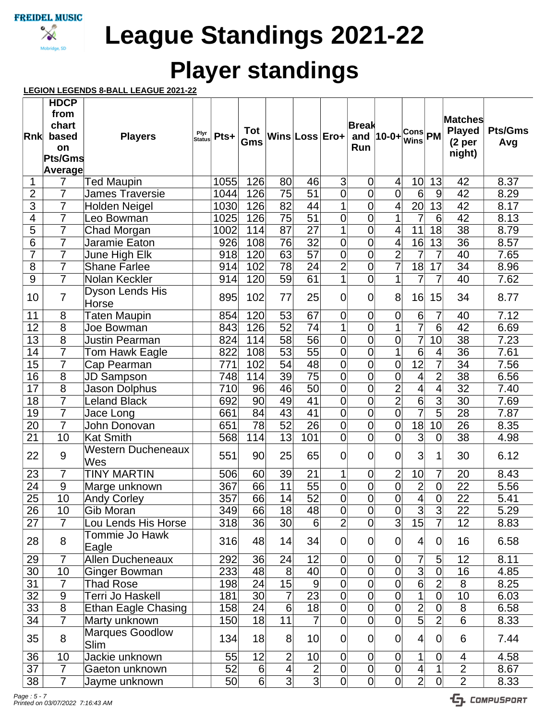

Mobridge, SD

**League Standings 2021-22**

# **Player standings**

## **LEGION LEGENDS 8-BALL LEAGUE 2021-22**

|                          | <b>HDCP</b>     |                            |                       |      |                 |                 |                 |                |                |                         |                          |                         |                     |                |
|--------------------------|-----------------|----------------------------|-----------------------|------|-----------------|-----------------|-----------------|----------------|----------------|-------------------------|--------------------------|-------------------------|---------------------|----------------|
|                          | from            |                            |                       |      |                 |                 |                 |                |                |                         |                          |                         | <b>Matches</b>      |                |
|                          | chart           |                            |                       |      | Tot             |                 |                 |                | <b>Break</b>   |                         |                          |                         | <b>Played</b>       | <b>Pts/Gms</b> |
| Rnk                      | based           | <b>Players</b>             | Plyr<br><b>Status</b> | Pts+ | Gms             |                 | Wins Loss Ero+  |                |                | and $ 10-0+$            | Cons PM<br><b>Wins</b>   |                         | (2 <sub>per</sub> ) | Avg            |
|                          | on              |                            |                       |      |                 |                 |                 |                | Run            |                         |                          |                         | night)              |                |
|                          | Pts/Gms         |                            |                       |      |                 |                 |                 |                |                |                         |                          |                         |                     |                |
|                          | Average         |                            |                       |      |                 |                 |                 |                |                |                         |                          |                         |                     |                |
| 1                        | 7               | <b>Ted Maupin</b>          |                       | 1055 | 126             | 80              | 46              | $\overline{3}$ | $\mathbf 0$    | $\overline{\mathbf{4}}$ | 10                       | 13                      | 42                  | 8.37           |
| $\overline{2}$           | $\overline{7}$  | <b>James Traversie</b>     |                       | 1044 | 126             | 75              | 51              | 0              | 0              | $\overline{0}$          | $6\phantom{1}$           | 9                       | 42                  | 8.29           |
| $\overline{3}$           | $\overline{7}$  | <b>Holden Neigel</b>       |                       | 1030 | 126             | $\overline{82}$ | 44              | 1              | 0              | 4                       | $\overline{20}$          | $\overline{13}$         | $\overline{42}$     | 8.17           |
| $\overline{\mathcal{A}}$ | $\overline{7}$  | Leo Bowman                 |                       | 1025 | 126             | $\overline{75}$ | $\overline{51}$ | $\overline{0}$ | 0              | 1                       | 7                        | 6                       | 42                  | 8.13           |
| $\overline{5}$           | $\overline{7}$  | Chad Morgan                |                       | 1002 | 114             | 87              | $\overline{27}$ | 1              | 0              | 4                       | 11                       | 18                      | 38                  | 8.79           |
| 6                        | $\overline{7}$  | Jaramie Eaton              |                       | 926  | 108             | 76              | 32              | $\overline{0}$ | 0              | $\overline{4}$          | 16                       | 13                      | 36                  | 8.57           |
| $\overline{7}$           | $\overline{7}$  | June High Elk              |                       | 918  | 120             | 63              | $\overline{57}$ | 0              | 0              | $\overline{2}$          | $\overline{7}$           | $\overline{7}$          | 40                  | 7.65           |
| 8                        | $\overline{7}$  | <b>Shane Farlee</b>        |                       | 914  | 102             | $\overline{78}$ | $\overline{24}$ | $\overline{2}$ | 0              | $\overline{7}$          | $\overline{18}$          | 17                      | 34                  | 8.96           |
| 9                        | $\overline{7}$  | Nolan Keckler              |                       | 914  | 120             | 59              | $\overline{61}$ | $\overline{1}$ | $\overline{0}$ | $\overline{1}$          | $\overline{7}$           | 7                       | 40                  | 7.62           |
|                          | $\overline{7}$  | Dyson Lends His            |                       |      |                 |                 |                 |                |                |                         |                          |                         |                     |                |
| 10                       |                 | Horse                      |                       | 895  | 102             | 77              | 25              | 0              | 0              | 8                       | 16                       | 15                      | 34                  | 8.77           |
| 11                       | 8               | <b>Taten Maupin</b>        |                       | 854  | 120             | 53              | 67              | 0              | 0              | $\mathbf 0$             | $6\phantom{1}6$          | 7                       | 40                  | 7.12           |
| $\overline{12}$          | $\overline{8}$  | Joe Bowman                 |                       | 843  | 126             | 52              | 74              | 1              | $\overline{0}$ | 1                       | $\overline{7}$           | $\overline{6}$          | 42                  | 6.69           |
| $\overline{13}$          | $\overline{8}$  | <b>Justin Pearman</b>      |                       | 824  | 114             | 58              | 56              | $\overline{0}$ | 0              | 0                       | $\overline{7}$           | 10                      | 38                  | 7.23           |
| $\overline{14}$          | $\overline{7}$  | Tom Hawk Eagle             |                       | 822  | 108             | 53              | 55              | 0              | 0              | 1                       | $\overline{6}$           | 4                       | $\overline{36}$     | 7.61           |
| $\overline{15}$          | $\overline{7}$  | Cap Pearman                |                       | 771  | 102             | 54              | 48              | 0              | 0              | $\mathbf 0$             | $\overline{12}$          | $\overline{7}$          | 34                  | 7.56           |
| $\overline{16}$          | $\overline{8}$  | <b>JD Sampson</b>          |                       | 748  | 114             | 39              | 75              | $\overline{0}$ | 0              | $\overline{0}$          | $\overline{4}$           | $\overline{2}$          | 38                  | 6.56           |
| $\overline{17}$          | $\overline{8}$  | <b>Jason Dolphus</b>       |                       | 710  | 96              | 46              | 50              | $\overline{0}$ | 0              | $\overline{2}$          | $\overline{\mathcal{A}}$ | 4                       | 32                  | 7.40           |
| $\overline{18}$          | $\overline{7}$  | <b>Leland Black</b>        |                       | 692  | 90              | 49              | 41              | 0              | 0              | $\overline{2}$          | $\overline{6}$           | $\overline{3}$          | 30                  | 7.69           |
| $\overline{19}$          | $\overline{7}$  | Jace Long                  |                       | 661  | 84              | 43              | 41              | 0              | 0              | $\overline{0}$          | $\overline{7}$           | $\overline{5}$          | 28                  | 7.87           |
| $\overline{20}$          | $\overline{7}$  | John Donovan               |                       | 651  | 78              | 52              | 26              | $\overline{0}$ | 0              | $\overline{0}$          | $\overline{18}$          | 10                      | 26                  | 8.35           |
| 21                       | 10              | <b>Kat Smith</b>           |                       | 568  | 114             | 13              | 101             | $\overline{0}$ | $\overline{0}$ | $\overline{0}$          | $\overline{3}$           | $\overline{0}$          | 38                  | 4.98           |
| 22                       | 9               | <b>Western Ducheneaux</b>  |                       | 551  | 90              | 25              | 65              | $\overline{0}$ | $\overline{0}$ | $\overline{0}$          | 3                        | 1                       | 30                  | 6.12           |
|                          |                 | Wes                        |                       |      |                 |                 |                 |                |                |                         |                          |                         |                     |                |
| 23                       | 7               | <b>TINY MARTIN</b>         |                       | 506  | 60              | 39              | 21              | 1              | $\mathbf 0$    | $\overline{2}$          | 10                       | 7                       | 20                  | 8.43           |
| 24                       | $\overline{9}$  | Marge unknown              |                       | 367  | 66              | 11              | 55              | $\overline{0}$ | $\overline{0}$ | $\overline{0}$          | $\overline{2}$           | $\overline{0}$          | 22                  | 5.56           |
| $\overline{25}$          | $\overline{10}$ | <b>Andy Corley</b>         |                       | 357  | 66              | 14              | 52              | $\overline{0}$ | 0              | $\overline{0}$          | $\overline{4}$           | $\overline{0}$          | $\overline{22}$     | 5.41           |
| 26                       | 10              | Gib Moran                  |                       | 349  | 66              | 18              | 48              | 0              | 0              | 0                       | $\vert 3 \vert$          | $\overline{3}$          | 22                  | 5.29           |
| 27                       | $\overline{7}$  | Lou Lends His Horse        |                       | 318  | 36              | 30              | $6\phantom{1}6$ | $\overline{2}$ | $\overline{0}$ | $\overline{3}$          | $\overline{15}$          | $\overline{7}$          | 12                  | 8.83           |
| 28                       | 8               | Tommie Jo Hawk<br>Eagle    |                       | 316  | 48              | 14              | 34              | 0              | $\overline{0}$ | $\Omega$                | $\vert 4 \vert$          | $\overline{0}$          | 16                  | 6.58           |
| 29                       | $\overline{7}$  | <b>Allen Ducheneaux</b>    |                       | 292  | 36              | 24              | 12              | $\overline{0}$ | $\overline{0}$ | $\overline{0}$          | 7                        | 5                       | 12                  | 8.11           |
| 30                       | 10              | Ginger Bowman              |                       | 233  | 48              | 8               | 40              | $\overline{0}$ | $\overline{0}$ | $\overline{0}$          | $\overline{3}$           | $\overline{0}$          | 16                  | 4.85           |
| 31                       | $\overline{7}$  | <b>Thad Rose</b>           |                       | 198  | 24              | 15              | $\overline{9}$  | 0              | $\overline{0}$ | $\overline{0}$          | $\overline{6}$           | $\overline{2}$          | 8                   | 8.25           |
| 32                       | $9\,$           | Terri Jo Haskell           |                       | 181  | 30 <sup>°</sup> | 7               | $\overline{23}$ | $\overline{0}$ | $\overline{0}$ | $\overline{0}$          | $\overline{1}$           | $\overline{\mathsf{o}}$ | 10                  | 6.03           |
| 33                       | 8               | <b>Ethan Eagle Chasing</b> |                       | 158  | 24              | $6\phantom{1}$  | 18              | $\overline{0}$ | $\overline{0}$ | $\overline{0}$          | $\overline{2}$           | $\mathbf 0$             | 8                   | 6.58           |
| 34                       | $\overline{7}$  | Marty unknown              |                       | 150  | 18              | 11              | $\overline{7}$  | $\overline{0}$ | $\overline{0}$ | $\overline{0}$          | $\overline{5}$           | $\overline{2}$          | $\overline{6}$      | 8.33           |
|                          |                 | <b>Marques Goodlow</b>     |                       |      |                 |                 |                 |                |                |                         |                          |                         |                     |                |
| 35                       | 8               | Slim                       |                       | 134  | 18              | 8               | 10              | $\overline{0}$ | $\overline{0}$ | $\overline{0}$          | $\overline{4}$           | $\overline{0}$          | 6                   | 7.44           |
| 36                       | 10              | Jackie unknown             |                       | 55   | 12              | $\overline{2}$  | 10              | $\overline{0}$ | $\overline{0}$ | $\overline{0}$          | $\mathbf{1}$             | 0                       | 4                   | 4.58           |
| $\overline{37}$          | $\overline{7}$  | Gaeton unknown             |                       | 52   | 6               | $\vert 4 \vert$ | $\overline{2}$  | 0              | 0              | $\overline{0}$          | $\overline{4}$           | $\mathbf 1$             | $\overline{2}$      | 8.67           |
| 38                       | $\overline{7}$  | Jayme unknown              |                       | 50   | $\overline{6}$  | $\overline{3}$  | $\overline{3}$  | $\overline{0}$ | $\overline{0}$ | $\overline{0}$          | $\overline{2}$           | $\overline{0}$          | $\overline{2}$      | 8.33           |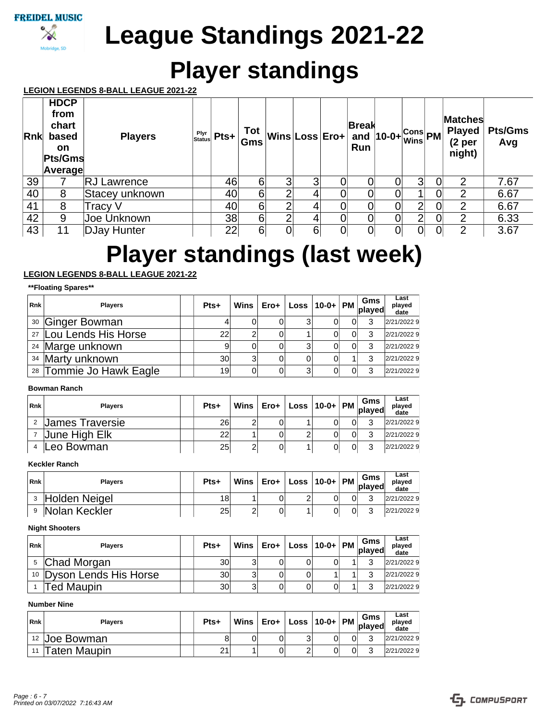

# **Player standings**

## **LEGION LEGENDS 8-BALL LEAGUE 2021-22**

| Rnk | <b>HDCP</b><br>from<br>chart<br>based<br><b>on</b><br>Pts/Gms<br>Average | <b>Players</b>     | Plyr<br>Status | $Pts +$ | Gms |   | $\frac{1}{\sqrt{2}m}$ Wins Loss Ero+ $\frac{2.5 \times 1}{2}$ 10-0+ $\frac{1}{\sqrt{2}m}$ PM | <b>Break</b><br>Run |   |                |   | <b>Matches</b><br><b>Played</b><br>(2 <sub>per</sub> )<br>night) | <b>Pts/Gms</b><br>Avg |
|-----|--------------------------------------------------------------------------|--------------------|----------------|---------|-----|---|----------------------------------------------------------------------------------------------|---------------------|---|----------------|---|------------------------------------------------------------------|-----------------------|
| 39  |                                                                          | <b>RJ Lawrence</b> |                | 46      | 6   | 3 | 3                                                                                            |                     |   | $\overline{3}$ |   | $\overline{2}$                                                   | 7.67                  |
| 40  | 8                                                                        | Stacey unknown     |                | 40      | 6   | ⌒ | 4                                                                                            |                     |   |                |   | 2                                                                | 6.67                  |
| 41  | 8                                                                        | Tracy V            |                | 40      | 6   | ⌒ | 4                                                                                            |                     |   | 2              | 0 | $\overline{2}$                                                   | 6.67                  |
| 42  | 9                                                                        | Joe Unknown        |                | 38      | 6   | ⌒ | 4                                                                                            |                     | 0 | $\overline{2}$ | 0 | 2                                                                | 6.33                  |
| 43  | 11                                                                       | <b>DJay Hunter</b> |                | 22      | 6   |   | 6                                                                                            |                     |   | $\Omega$       |   | ာ                                                                | 3.67                  |

# **Player standings (last week)**

# **LEGION LEGENDS 8-BALL LEAGUE 2021-22**

#### **\*\*Floating Spares\*\***

| <b>Rnk</b> | <b>Players</b>              | Pts+ | Wins <b>I</b> | $Ero+ $ | $\vert$ Loss $\vert$ 10-0+ $\vert$ PM $\vert$ Gms $\vert$ played |  |   | Last<br>played<br>date |
|------------|-----------------------------|------|---------------|---------|------------------------------------------------------------------|--|---|------------------------|
|            | <sup>30</sup> Ginger Bowman |      |               |         |                                                                  |  | ຈ | 2/21/2022 9            |
|            | 27 Lou Lends His Horse      | 22   | 2             |         |                                                                  |  | 2 | 2/21/2022 9            |
|            | <sup>24</sup> Marge unknown |      |               |         | 3                                                                |  |   | 2/21/2022 9            |
|            | 34 Marty unknown            | 30   | 3             |         |                                                                  |  | 2 | 2/21/2022 9            |
|            | 28 Tommie Jo Hawk Eagle     | 19   | 0             |         | 3                                                                |  |   | 2/21/2022 9            |

### **Bowman Ranch**

| Rnk | Players         | Pts+ |   |  |  | Last<br>played<br>date |
|-----|-----------------|------|---|--|--|------------------------|
|     | James Traversie | 26   | ົ |  |  | 2/21/20229             |
|     | June High Elk   | 22   |   |  |  | 2/21/20229             |
|     | Leo Bowman      | 25   | 2 |  |  | 2/21/20229             |

## **Keckler Ranch**

| <b>Rnk</b> | <b>Plavers</b> | Pts+ | Wins I | Ero+ | $\vert$ Loss $\vert$ 10-0+ $\vert$ PM $\vert$ played |  | Gms | Last<br>plaved<br>date |
|------------|----------------|------|--------|------|------------------------------------------------------|--|-----|------------------------|
|            | Holden Neigel  | 18   |        |      |                                                      |  | ົ   | 2/21/2022 9            |
|            | Nolan Keckler  | 25   | ົ<br>۷ |      |                                                      |  |     | 2/21/2022 9            |

#### **Night Shooters**

| <b>Rnk</b> | <b>Plavers</b>                      | Pts+ | Wins <b>I</b> | Ero+ l | $ $ Loss $ 10-0+ $ PM $ $ played |  | Gms | Last<br>played<br>date |
|------------|-------------------------------------|------|---------------|--------|----------------------------------|--|-----|------------------------|
|            | <sup>5</sup> Chad Morgan            | 30   | 3             |        |                                  |  | ົ   | 2/21/20229             |
|            | <sup>10</sup> Dyson Lends His Horse | 30   | 3             |        |                                  |  |     | 2/21/20229             |
|            | Ted Maupin                          | 30   | 3             |        |                                  |  |     | 2/21/20229             |

### **Number Nine**

| <b>Rnk</b> | <b>Plavers</b>           | Pts+ | Wins I | Ero+ | Loss $ 10-0+ $ PM $ $ |  | Gms<br><b>played</b> | Last<br>plaved<br>date |
|------------|--------------------------|------|--------|------|-----------------------|--|----------------------|------------------------|
|            | <sup>12</sup> Joe Bowman |      | 0      |      | ບ                     |  | ⌒                    | 2/21/20229             |
| 11         | Taten Maupin             | 21   |        |      | ⌒                     |  |                      | 2/21/20229             |